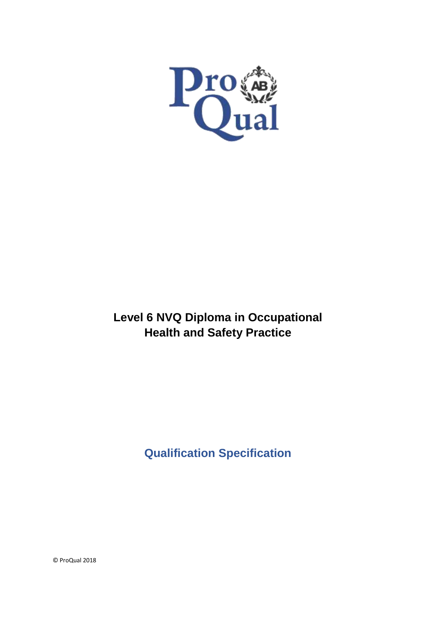

# **Level 6 NVQ Diploma in Occupational Health and Safety Practice**

**Qualification Specification**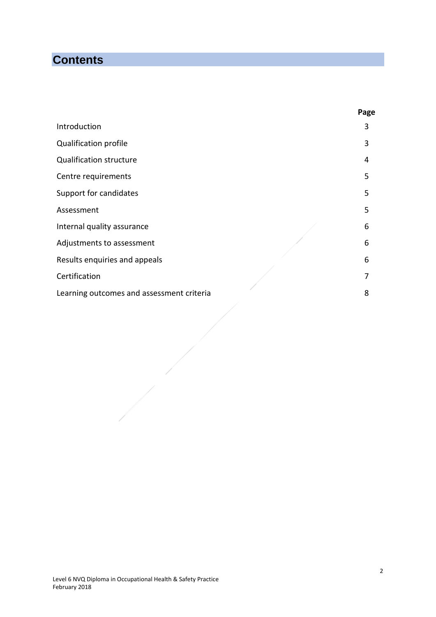# **Contents**

|                                           | Page |
|-------------------------------------------|------|
| Introduction                              | 3    |
| Qualification profile                     | 3    |
| <b>Qualification structure</b>            | 4    |
| Centre requirements                       | 5    |
| Support for candidates                    | 5    |
| Assessment                                | 5    |
| Internal quality assurance                | 6    |
| Adjustments to assessment                 | 6    |
| Results enquiries and appeals             | 6    |
| Certification                             | 7    |
| Learning outcomes and assessment criteria | 8    |
|                                           |      |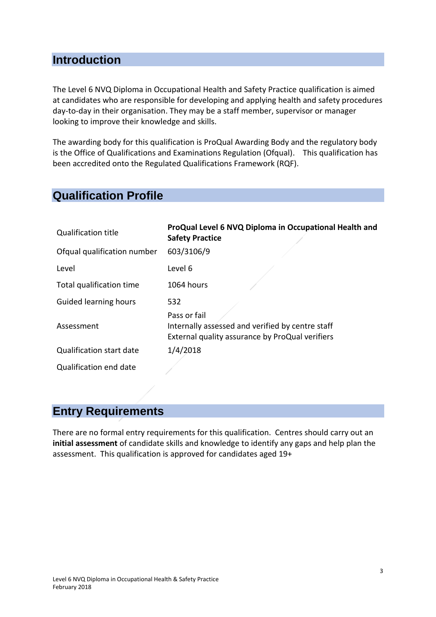### **Introduction**

The Level 6 NVQ Diploma in Occupational Health and Safety Practice qualification is aimed at candidates who are responsible for developing and applying health and safety procedures day-to-day in their organisation. They may be a staff member, supervisor or manager looking to improve their knowledge and skills.

The awarding body for this qualification is ProQual Awarding Body and the regulatory body is the Office of Qualifications and Examinations Regulation (Ofqual). This qualification has been accredited onto the Regulated Qualifications Framework (RQF).

### **Qualification Profile**

| <b>Qualification title</b>      | ProQual Level 6 NVQ Diploma in Occupational Health and<br><b>Safety Practice</b>                                    |
|---------------------------------|---------------------------------------------------------------------------------------------------------------------|
| Ofqual qualification number     | 603/3106/9                                                                                                          |
| Level                           | Level 6                                                                                                             |
| Total qualification time        | 1064 hours                                                                                                          |
| Guided learning hours           | 532                                                                                                                 |
| Assessment                      | Pass or fail<br>Internally assessed and verified by centre staff<br>External quality assurance by ProQual verifiers |
| <b>Qualification start date</b> | 1/4/2018                                                                                                            |
| Qualification end date          |                                                                                                                     |

# **Entry Requirements**

There are no formal entry requirements for this qualification. Centres should carry out an **initial assessment** of candidate skills and knowledge to identify any gaps and help plan the assessment. This qualification is approved for candidates aged 19+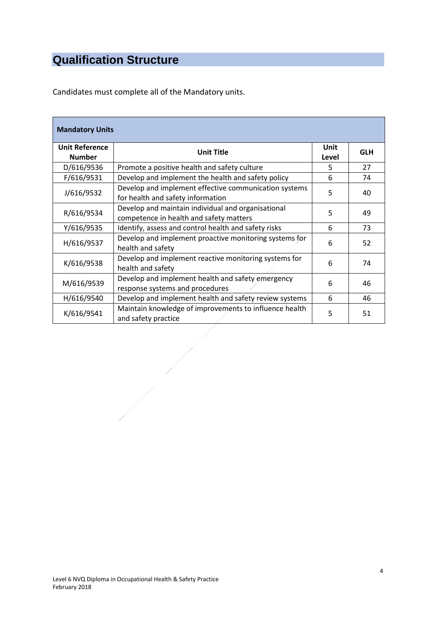# **Qualification Structure**

Candidates must complete all of the Mandatory units.

| <b>Mandatory Units</b>                                                                                           |                                                                                            |                      |            |
|------------------------------------------------------------------------------------------------------------------|--------------------------------------------------------------------------------------------|----------------------|------------|
| <b>Unit Reference</b><br><b>Number</b>                                                                           | <b>Unit Title</b>                                                                          | <b>Unit</b><br>Level | <b>GLH</b> |
| D/616/9536                                                                                                       | Promote a positive health and safety culture                                               | 5                    | 27         |
| F/616/9531                                                                                                       | Develop and implement the health and safety policy                                         | 6                    | 74         |
| J/616/9532                                                                                                       | Develop and implement effective communication systems<br>for health and safety information | 5                    | 40         |
| Develop and maintain individual and organisational<br>R/616/9534<br>5<br>competence in health and safety matters |                                                                                            |                      | 49         |
| Y/616/9535<br>Identify, assess and control health and safety risks<br>6                                          |                                                                                            | 73                   |            |
| H/616/9537                                                                                                       | Develop and implement proactive monitoring systems for<br>health and safety                | 6                    | 52         |
| K/616/9538                                                                                                       | Develop and implement reactive monitoring systems for<br>health and safety                 | 6                    | 74         |
| M/616/9539                                                                                                       | Develop and implement health and safety emergency<br>response systems and procedures       | 6                    | 46         |
| H/616/9540                                                                                                       | Develop and implement health and safety review systems                                     | 6                    | 46         |
| K/616/9541                                                                                                       | Maintain knowledge of improvements to influence health<br>and safety practice              | 5                    | 51         |
|                                                                                                                  |                                                                                            |                      |            |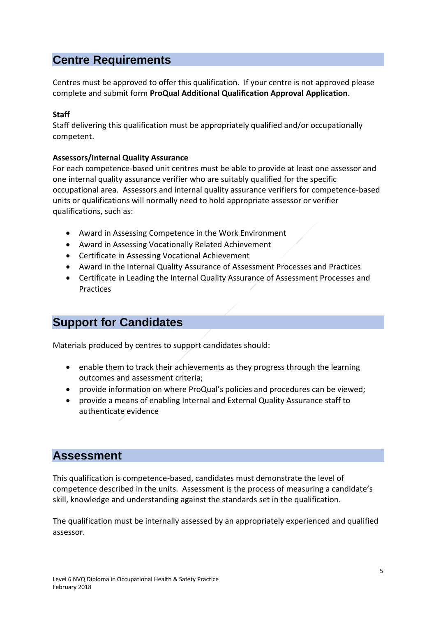# **Centre Requirements**

Centres must be approved to offer this qualification. If your centre is not approved please complete and submit form **ProQual Additional Qualification Approval Application**.

#### **Staff**

Staff delivering this qualification must be appropriately qualified and/or occupationally competent.

#### **Assessors/Internal Quality Assurance**

For each competence-based unit centres must be able to provide at least one assessor and one internal quality assurance verifier who are suitably qualified for the specific occupational area. Assessors and internal quality assurance verifiers for competence-based units or qualifications will normally need to hold appropriate assessor or verifier qualifications, such as:

- Award in Assessing Competence in the Work Environment
- Award in Assessing Vocationally Related Achievement
- Certificate in Assessing Vocational Achievement
- Award in the Internal Quality Assurance of Assessment Processes and Practices
- Certificate in Leading the Internal Quality Assurance of Assessment Processes and Practices

# **Support for Candidates**

Materials produced by centres to support candidates should:

- enable them to track their achievements as they progress through the learning outcomes and assessment criteria;
- provide information on where ProQual's policies and procedures can be viewed;
- provide a means of enabling Internal and External Quality Assurance staff to authenticate evidence

### **Assessment**

This qualification is competence-based, candidates must demonstrate the level of competence described in the units. Assessment is the process of measuring a candidate's skill, knowledge and understanding against the standards set in the qualification.

The qualification must be internally assessed by an appropriately experienced and qualified assessor.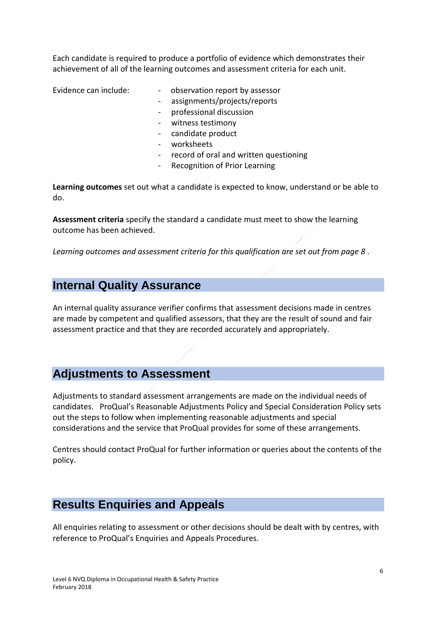Each candidate is required to produce a portfolio of evidence which demonstrates their achievement of all of the learning outcomes and assessment criteria for each unit.

- Evidence can include: - observation report by assessor
	- assignments/projects/reports
	- professional discussion
	- witness testimony
	- candidate product
	- worksheets
	- record of oral and written questioning
	- Recognition of Prior Learning

**Learning outcomes** set out what a candidate is expected to know, understand or be able to do.

**Assessment criteria** specify the standard a candidate must meet to show the learning outcome has been achieved.

*Learning outcomes and assessment criteria for this qualification are set out from page 8 .*

### **Internal Quality Assurance**

An internal quality assurance verifier confirms that assessment decisions made in centres are made by competent and qualified assessors, that they are the result of sound and fair assessment practice and that they are recorded accurately and appropriately.

#### **Adjustments to Assessment**

Adjustments to standard assessment arrangements are made on the individual needs of candidates. ProQual's Reasonable Adjustments Policy and Special Consideration Policy sets out the steps to follow when implementing reasonable adjustments and special considerations and the service that ProQual provides for some of these arrangements.

Centres should contact ProQual for further information or queries about the contents of the policy.

# **Results Enquiries and Appeals**

All enquiries relating to assessment or other decisions should be dealt with by centres, with reference to ProQual's Enquiries and Appeals Procedures.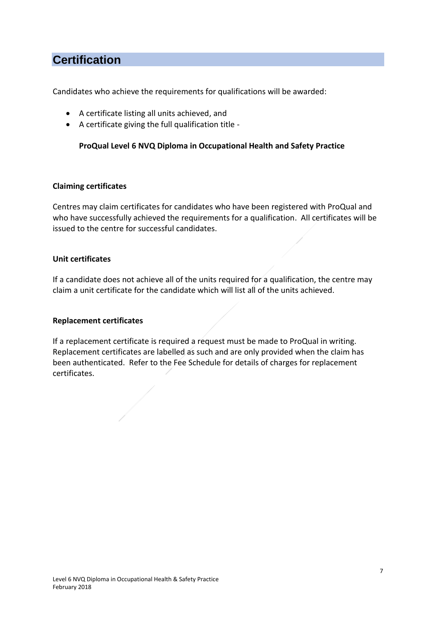# **Certification**

Candidates who achieve the requirements for qualifications will be awarded:

- A certificate listing all units achieved, and
- A certificate giving the full qualification title -

#### **ProQual Level 6 NVQ Diploma in Occupational Health and Safety Practice**

#### **Claiming certificates**

Centres may claim certificates for candidates who have been registered with ProQual and who have successfully achieved the requirements for a qualification. All certificates will be issued to the centre for successful candidates.

#### **Unit certificates**

If a candidate does not achieve all of the units required for a qualification, the centre may claim a unit certificate for the candidate which will list all of the units achieved.

#### **Replacement certificates**

If a replacement certificate is required a request must be made to ProQual in writing. Replacement certificates are labelled as such and are only provided when the claim has been authenticated. Refer to the Fee Schedule for details of charges for replacement certificates.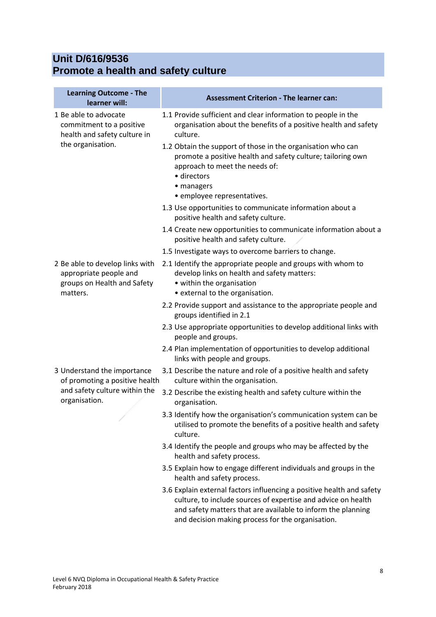# **Unit D/616/9536 Promote a health and safety culture**

| <b>Learning Outcome - The</b><br>learner will:                                                                  | <b>Assessment Criterion - The learner can:</b>                                                                                                                                                                                                              |
|-----------------------------------------------------------------------------------------------------------------|-------------------------------------------------------------------------------------------------------------------------------------------------------------------------------------------------------------------------------------------------------------|
| 1 Be able to advocate<br>commitment to a positive<br>health and safety culture in                               | 1.1 Provide sufficient and clear information to people in the<br>organisation about the benefits of a positive health and safety<br>culture.                                                                                                                |
| the organisation.                                                                                               | 1.2 Obtain the support of those in the organisation who can<br>promote a positive health and safety culture; tailoring own<br>approach to meet the needs of:<br>· directors<br>• managers<br>· employee representatives.                                    |
|                                                                                                                 | 1.3 Use opportunities to communicate information about a<br>positive health and safety culture.                                                                                                                                                             |
|                                                                                                                 | 1.4 Create new opportunities to communicate information about a<br>positive health and safety culture.                                                                                                                                                      |
|                                                                                                                 | 1.5 Investigate ways to overcome barriers to change.                                                                                                                                                                                                        |
| 2 Be able to develop links with<br>appropriate people and<br>groups on Health and Safety<br>matters.            | 2.1 Identify the appropriate people and groups with whom to<br>develop links on health and safety matters:<br>• within the organisation<br>• external to the organisation.                                                                                  |
|                                                                                                                 | 2.2 Provide support and assistance to the appropriate people and<br>groups identified in 2.1                                                                                                                                                                |
|                                                                                                                 | 2.3 Use appropriate opportunities to develop additional links with<br>people and groups.                                                                                                                                                                    |
|                                                                                                                 | 2.4 Plan implementation of opportunities to develop additional<br>links with people and groups.                                                                                                                                                             |
| 3 Understand the importance<br>of promoting a positive health<br>and safety culture within the<br>organisation. | 3.1 Describe the nature and role of a positive health and safety<br>culture within the organisation.                                                                                                                                                        |
|                                                                                                                 | 3.2 Describe the existing health and safety culture within the<br>organisation.                                                                                                                                                                             |
|                                                                                                                 | 3.3 Identify how the organisation's communication system can be<br>utilised to promote the benefits of a positive health and safety<br>culture.                                                                                                             |
|                                                                                                                 | 3.4 Identify the people and groups who may be affected by the<br>health and safety process.                                                                                                                                                                 |
|                                                                                                                 | 3.5 Explain how to engage different individuals and groups in the<br>health and safety process.                                                                                                                                                             |
|                                                                                                                 | 3.6 Explain external factors influencing a positive health and safety<br>culture, to include sources of expertise and advice on health<br>and safety matters that are available to inform the planning<br>and decision making process for the organisation. |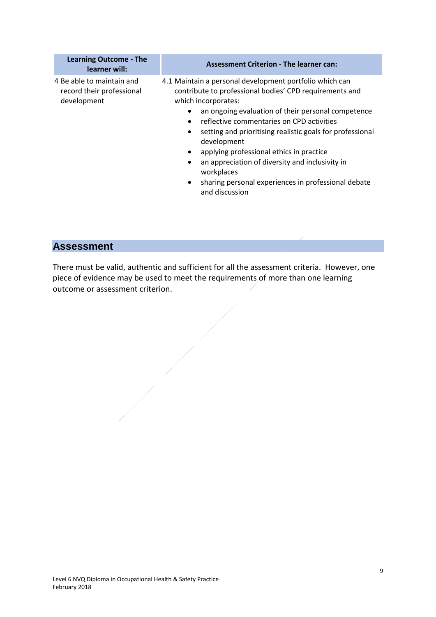| <b>Learning Outcome - The</b><br>learner will:                        | <b>Assessment Criterion - The learner can:</b>                                                                                                                                                                                                                                                                                                                                                                                                                                                                              |
|-----------------------------------------------------------------------|-----------------------------------------------------------------------------------------------------------------------------------------------------------------------------------------------------------------------------------------------------------------------------------------------------------------------------------------------------------------------------------------------------------------------------------------------------------------------------------------------------------------------------|
| 4 Be able to maintain and<br>record their professional<br>development | 4.1 Maintain a personal development portfolio which can<br>contribute to professional bodies' CPD requirements and<br>which incorporates:<br>an ongoing evaluation of their personal competence<br>reflective commentaries on CPD activities<br>setting and prioritising realistic goals for professional<br>development<br>applying professional ethics in practice<br>an appreciation of diversity and inclusivity in<br>workplaces<br>sharing personal experiences in professional debate<br>$\bullet$<br>and discussion |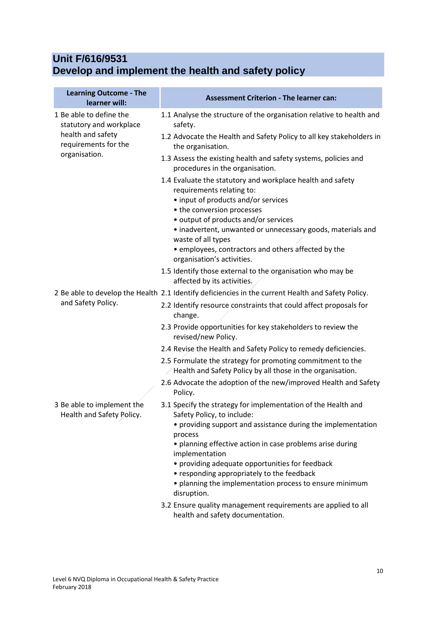### **Unit F/616/9531 Develop and implement the health and safety policy**

| <b>Learning Outcome - The</b><br>learner will:                 | <b>Assessment Criterion - The learner can:</b>                                                                                                                                                                                                                      |
|----------------------------------------------------------------|---------------------------------------------------------------------------------------------------------------------------------------------------------------------------------------------------------------------------------------------------------------------|
| 1 Be able to define the<br>statutory and workplace             | 1.1 Analyse the structure of the organisation relative to health and<br>safety.                                                                                                                                                                                     |
| health and safety<br>requirements for the                      | 1.2 Advocate the Health and Safety Policy to all key stakeholders in<br>the organisation.                                                                                                                                                                           |
| organisation.                                                  | 1.3 Assess the existing health and safety systems, policies and<br>procedures in the organisation.                                                                                                                                                                  |
|                                                                | 1.4 Evaluate the statutory and workplace health and safety<br>requirements relating to:<br>• input of products and/or services<br>• the conversion processes<br>• output of products and/or services<br>· inadvertent, unwanted or unnecessary goods, materials and |
|                                                                | waste of all types<br>• employees, contractors and others affected by the<br>organisation's activities.                                                                                                                                                             |
|                                                                | 1.5 Identify those external to the organisation who may be<br>affected by its activities.                                                                                                                                                                           |
| and Safety Policy.                                             | 2 Be able to develop the Health 2.1 Identify deficiencies in the current Health and Safety Policy.<br>2.2 Identify resource constraints that could affect proposals for<br>change.                                                                                  |
|                                                                | 2.3 Provide opportunities for key stakeholders to review the<br>revised/new Policy.                                                                                                                                                                                 |
|                                                                | 2.4 Revise the Health and Safety Policy to remedy deficiencies.                                                                                                                                                                                                     |
|                                                                | 2.5 Formulate the strategy for promoting commitment to the<br>Health and Safety Policy by all those in the organisation.                                                                                                                                            |
|                                                                | 2.6 Advocate the adoption of the new/improved Health and Safety<br>Policy.                                                                                                                                                                                          |
| 3 Be able to implement the<br><b>Health and Safety Policy.</b> | 3.1 Specify the strategy for implementation of the Health and<br>Safety Policy, to include:                                                                                                                                                                         |
|                                                                | • providing support and assistance during the implementation<br>process                                                                                                                                                                                             |
|                                                                | • planning effective action in case problems arise during<br>implementation                                                                                                                                                                                         |
|                                                                | • providing adequate opportunities for feedback<br>• responding appropriately to the feedback<br>• planning the implementation process to ensure minimum<br>disruption.                                                                                             |
|                                                                | 3.2 Ensure quality management requirements are applied to all<br>health and safety documentation.                                                                                                                                                                   |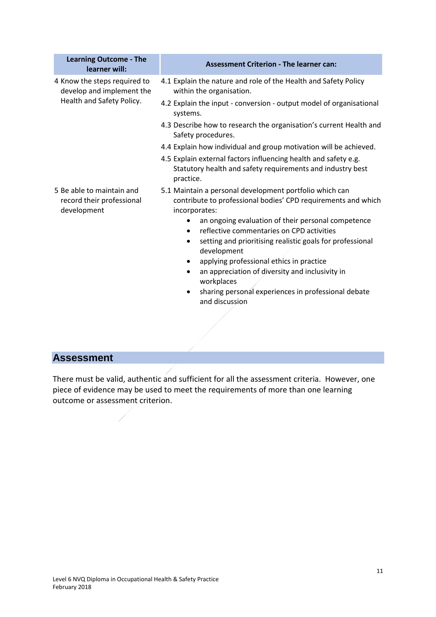| <b>Learning Outcome - The</b><br>learner will:                        | <b>Assessment Criterion - The learner can:</b>                                                                                                                                                                                                                                                                                                                                                                                                                                                                                                |
|-----------------------------------------------------------------------|-----------------------------------------------------------------------------------------------------------------------------------------------------------------------------------------------------------------------------------------------------------------------------------------------------------------------------------------------------------------------------------------------------------------------------------------------------------------------------------------------------------------------------------------------|
| 4 Know the steps required to<br>develop and implement the             | 4.1 Explain the nature and role of the Health and Safety Policy<br>within the organisation.                                                                                                                                                                                                                                                                                                                                                                                                                                                   |
| Health and Safety Policy.                                             | 4.2 Explain the input - conversion - output model of organisational<br>systems.                                                                                                                                                                                                                                                                                                                                                                                                                                                               |
|                                                                       | 4.3 Describe how to research the organisation's current Health and<br>Safety procedures.                                                                                                                                                                                                                                                                                                                                                                                                                                                      |
|                                                                       | 4.4 Explain how individual and group motivation will be achieved.                                                                                                                                                                                                                                                                                                                                                                                                                                                                             |
|                                                                       | 4.5 Explain external factors influencing health and safety e.g.<br>Statutory health and safety requirements and industry best<br>practice.                                                                                                                                                                                                                                                                                                                                                                                                    |
| 5 Be able to maintain and<br>record their professional<br>development | 5.1 Maintain a personal development portfolio which can<br>contribute to professional bodies' CPD requirements and which<br>incorporates:<br>an ongoing evaluation of their personal competence<br>reflective commentaries on CPD activities<br>setting and prioritising realistic goals for professional<br>٠<br>development<br>applying professional ethics in practice<br>$\bullet$<br>an appreciation of diversity and inclusivity in<br>$\bullet$<br>workplaces<br>sharing personal experiences in professional debate<br>and discussion |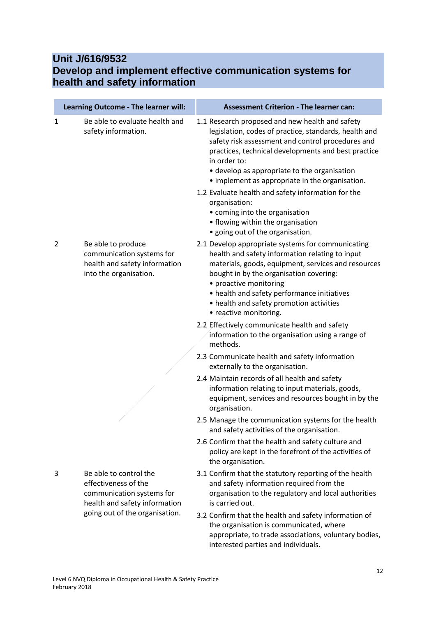### **Unit J/616/9532 Develop and implement effective communication systems for health and safety information**

|   | Learning Outcome - The learner will:                                                                         | <b>Assessment Criterion - The learner can:</b>                                                                                                                                                                                                                                                                                                                                                                                                                                                                            |
|---|--------------------------------------------------------------------------------------------------------------|---------------------------------------------------------------------------------------------------------------------------------------------------------------------------------------------------------------------------------------------------------------------------------------------------------------------------------------------------------------------------------------------------------------------------------------------------------------------------------------------------------------------------|
| 1 | Be able to evaluate health and<br>safety information.                                                        | 1.1 Research proposed and new health and safety<br>legislation, codes of practice, standards, health and<br>safety risk assessment and control procedures and<br>practices, technical developments and best practice<br>in order to:<br>• develop as appropriate to the organisation<br>• implement as appropriate in the organisation.<br>1.2 Evaluate health and safety information for the<br>organisation:<br>• coming into the organisation<br>• flowing within the organisation<br>· going out of the organisation. |
| 2 | Be able to produce<br>communication systems for<br>health and safety information<br>into the organisation.   | 2.1 Develop appropriate systems for communicating<br>health and safety information relating to input<br>materials, goods, equipment, services and resources<br>bought in by the organisation covering:<br>• proactive monitoring<br>• health and safety performance initiatives<br>• health and safety promotion activities<br>• reactive monitoring.<br>2.2 Effectively communicate health and safety                                                                                                                    |
|   |                                                                                                              | information to the organisation using a range of<br>methods.                                                                                                                                                                                                                                                                                                                                                                                                                                                              |
|   |                                                                                                              | 2.3 Communicate health and safety information<br>externally to the organisation.                                                                                                                                                                                                                                                                                                                                                                                                                                          |
|   |                                                                                                              | 2.4 Maintain records of all health and safety<br>information relating to input materials, goods,<br>equipment, services and resources bought in by the<br>organisation.                                                                                                                                                                                                                                                                                                                                                   |
|   |                                                                                                              | 2.5 Manage the communication systems for the health<br>and safety activities of the organisation.                                                                                                                                                                                                                                                                                                                                                                                                                         |
|   |                                                                                                              | 2.6 Confirm that the health and safety culture and<br>policy are kept in the forefront of the activities of<br>the organisation.                                                                                                                                                                                                                                                                                                                                                                                          |
| 3 | Be able to control the<br>effectiveness of the<br>communication systems for<br>health and safety information | 3.1 Confirm that the statutory reporting of the health<br>and safety information required from the<br>organisation to the regulatory and local authorities<br>is carried out.                                                                                                                                                                                                                                                                                                                                             |
|   | going out of the organisation.                                                                               | 3.2 Confirm that the health and safety information of<br>the organisation is communicated, where<br>appropriate, to trade associations, voluntary bodies,<br>interested parties and individuals.                                                                                                                                                                                                                                                                                                                          |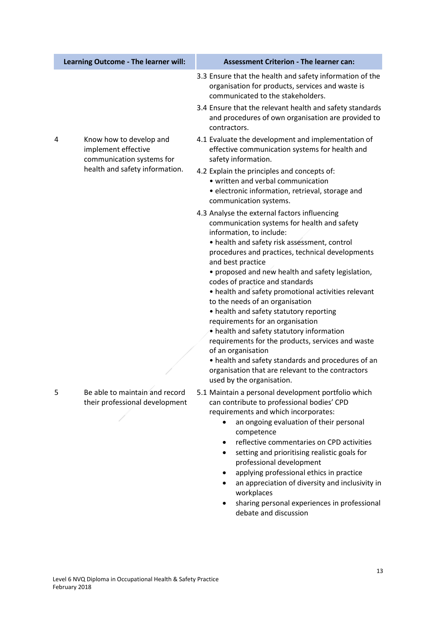|   | Learning Outcome - The learner will:                                        | <b>Assessment Criterion - The learner can:</b>                                                                                                                                                                                                                                                                                                                                                                                                                                                                                                                                                                                                                                                                                                                                    |
|---|-----------------------------------------------------------------------------|-----------------------------------------------------------------------------------------------------------------------------------------------------------------------------------------------------------------------------------------------------------------------------------------------------------------------------------------------------------------------------------------------------------------------------------------------------------------------------------------------------------------------------------------------------------------------------------------------------------------------------------------------------------------------------------------------------------------------------------------------------------------------------------|
|   |                                                                             | 3.3 Ensure that the health and safety information of the<br>organisation for products, services and waste is<br>communicated to the stakeholders.                                                                                                                                                                                                                                                                                                                                                                                                                                                                                                                                                                                                                                 |
|   |                                                                             | 3.4 Ensure that the relevant health and safety standards<br>and procedures of own organisation are provided to<br>contractors.                                                                                                                                                                                                                                                                                                                                                                                                                                                                                                                                                                                                                                                    |
| 4 | Know how to develop and<br>implement effective<br>communication systems for | 4.1 Evaluate the development and implementation of<br>effective communication systems for health and<br>safety information.                                                                                                                                                                                                                                                                                                                                                                                                                                                                                                                                                                                                                                                       |
|   | health and safety information.                                              | 4.2 Explain the principles and concepts of:<br>· written and verbal communication<br>· electronic information, retrieval, storage and<br>communication systems.                                                                                                                                                                                                                                                                                                                                                                                                                                                                                                                                                                                                                   |
|   |                                                                             | 4.3 Analyse the external factors influencing<br>communication systems for health and safety<br>information, to include:<br>• health and safety risk assessment, control<br>procedures and practices, technical developments<br>and best practice<br>• proposed and new health and safety legislation,<br>codes of practice and standards<br>• health and safety promotional activities relevant<br>to the needs of an organisation<br>• health and safety statutory reporting<br>requirements for an organisation<br>• health and safety statutory information<br>requirements for the products, services and waste<br>of an organisation<br>• health and safety standards and procedures of an<br>organisation that are relevant to the contractors<br>used by the organisation. |
| 5 | Be able to maintain and record<br>their professional development            | 5.1 Maintain a personal development portfolio which<br>can contribute to professional bodies' CPD<br>requirements and which incorporates:<br>an ongoing evaluation of their personal<br>$\bullet$<br>competence<br>reflective commentaries on CPD activities<br>setting and prioritising realistic goals for<br>professional development<br>applying professional ethics in practice<br>an appreciation of diversity and inclusivity in<br>workplaces<br>sharing personal experiences in professional<br>debate and discussion                                                                                                                                                                                                                                                    |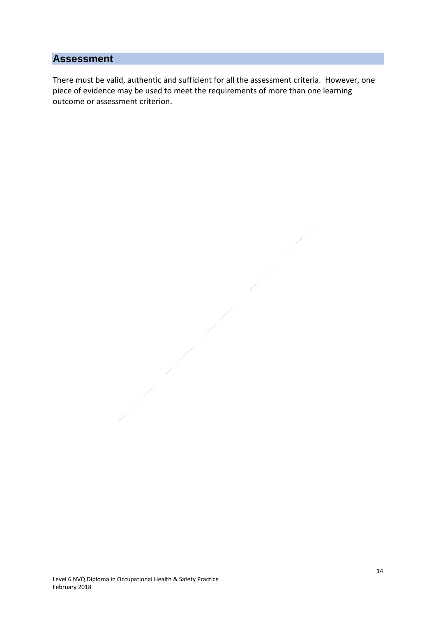There must be valid, authentic and sufficient for all the assessment criteria. However, one piece of evidence may be used to meet the requirements of more than one learning outcome or assessment criterion.

Level 6 NVQ Diploma in Occupational Health & Safety Practice February 2018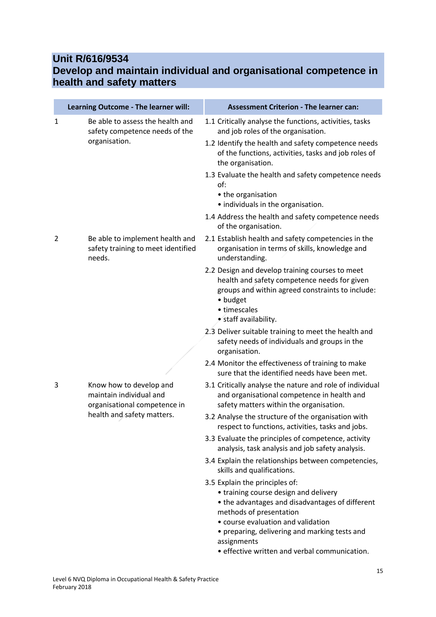### **Unit R/616/9534**

### **Develop and maintain individual and organisational competence in health and safety matters**

|                | Learning Outcome - The learner will:                                               | <b>Assessment Criterion - The learner can:</b>                                                                                                                                                                                                                                                               |
|----------------|------------------------------------------------------------------------------------|--------------------------------------------------------------------------------------------------------------------------------------------------------------------------------------------------------------------------------------------------------------------------------------------------------------|
| 1              | Be able to assess the health and<br>safety competence needs of the                 | 1.1 Critically analyse the functions, activities, tasks<br>and job roles of the organisation.                                                                                                                                                                                                                |
|                | organisation.                                                                      | 1.2 Identify the health and safety competence needs<br>of the functions, activities, tasks and job roles of<br>the organisation.                                                                                                                                                                             |
|                |                                                                                    | 1.3 Evaluate the health and safety competence needs<br>of:<br>• the organisation<br>· individuals in the organisation.                                                                                                                                                                                       |
|                |                                                                                    | 1.4 Address the health and safety competence needs<br>of the organisation.                                                                                                                                                                                                                                   |
| $\overline{2}$ | Be able to implement health and<br>safety training to meet identified<br>needs.    | 2.1 Establish health and safety competencies in the<br>organisation in terms of skills, knowledge and<br>understanding.                                                                                                                                                                                      |
|                |                                                                                    | 2.2 Design and develop training courses to meet<br>health and safety competence needs for given<br>groups and within agreed constraints to include:<br>• budget<br>• timescales<br>• staff availability.                                                                                                     |
|                |                                                                                    | 2.3 Deliver suitable training to meet the health and<br>safety needs of individuals and groups in the<br>organisation.                                                                                                                                                                                       |
|                |                                                                                    | 2.4 Monitor the effectiveness of training to make<br>sure that the identified needs have been met.                                                                                                                                                                                                           |
| 3              | Know how to develop and<br>maintain individual and<br>organisational competence in | 3.1 Critically analyse the nature and role of individual<br>and organisational competence in health and<br>safety matters within the organisation.                                                                                                                                                           |
|                | health and safety matters.                                                         | 3.2 Analyse the structure of the organisation with<br>respect to functions, activities, tasks and jobs.                                                                                                                                                                                                      |
|                |                                                                                    | 3.3 Evaluate the principles of competence, activity<br>analysis, task analysis and job safety analysis.                                                                                                                                                                                                      |
|                |                                                                                    | 3.4 Explain the relationships between competencies,<br>skills and qualifications.                                                                                                                                                                                                                            |
|                |                                                                                    | 3.5 Explain the principles of:<br>• training course design and delivery<br>• the advantages and disadvantages of different<br>methods of presentation<br>• course evaluation and validation<br>• preparing, delivering and marking tests and<br>assignments<br>• effective written and verbal communication. |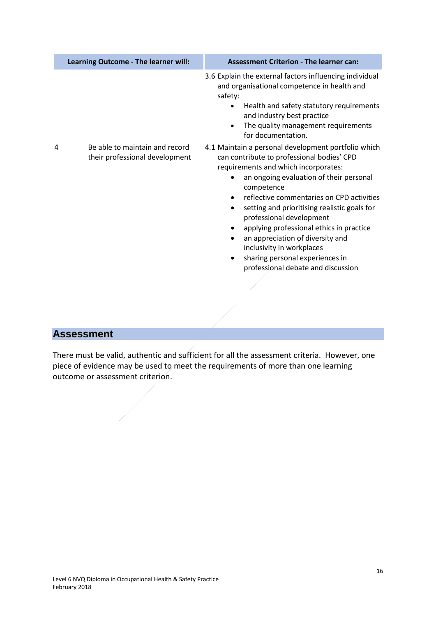|   | Learning Outcome - The learner will:                             | <b>Assessment Criterion - The learner can:</b>                                                                                                                                                                                                                                                                                                                                                                                                                                                                                                                                     |
|---|------------------------------------------------------------------|------------------------------------------------------------------------------------------------------------------------------------------------------------------------------------------------------------------------------------------------------------------------------------------------------------------------------------------------------------------------------------------------------------------------------------------------------------------------------------------------------------------------------------------------------------------------------------|
|   |                                                                  | 3.6 Explain the external factors influencing individual<br>and organisational competence in health and<br>safety:<br>Health and safety statutory requirements<br>and industry best practice<br>The quality management requirements<br>$\bullet$<br>for documentation.                                                                                                                                                                                                                                                                                                              |
| 4 | Be able to maintain and record<br>their professional development | 4.1 Maintain a personal development portfolio which<br>can contribute to professional bodies' CPD<br>requirements and which incorporates:<br>an ongoing evaluation of their personal<br>$\bullet$<br>competence<br>reflective commentaries on CPD activities<br>$\bullet$<br>setting and prioritising realistic goals for<br>$\bullet$<br>professional development<br>applying professional ethics in practice<br>$\bullet$<br>an appreciation of diversity and<br>$\bullet$<br>inclusivity in workplaces<br>sharing personal experiences in<br>professional debate and discussion |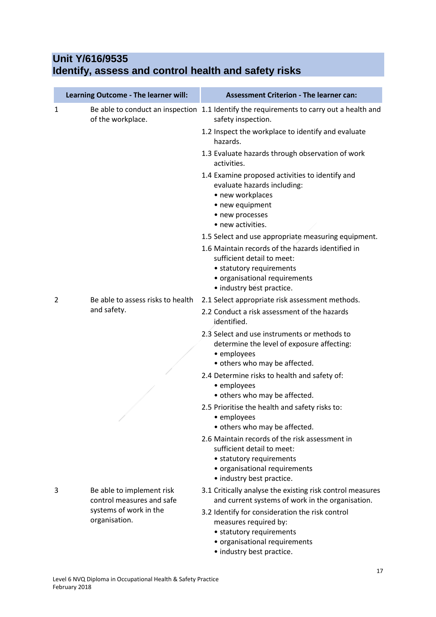### **Unit Y/616/9535 Identify, assess and control health and safety risks**

|   | Learning Outcome - The learner will:                   | <b>Assessment Criterion - The learner can:</b>                                                                                                                                                                                   |
|---|--------------------------------------------------------|----------------------------------------------------------------------------------------------------------------------------------------------------------------------------------------------------------------------------------|
| 1 | of the workplace.                                      | Be able to conduct an inspection 1.1 Identify the requirements to carry out a health and<br>safety inspection.                                                                                                                   |
|   |                                                        | 1.2 Inspect the workplace to identify and evaluate<br>hazards.                                                                                                                                                                   |
|   |                                                        | 1.3 Evaluate hazards through observation of work<br>activities.                                                                                                                                                                  |
|   |                                                        | 1.4 Examine proposed activities to identify and<br>evaluate hazards including:<br>• new workplaces<br>• new equipment<br>• new processes<br>• new activities.                                                                    |
|   |                                                        | 1.5 Select and use appropriate measuring equipment.<br>1.6 Maintain records of the hazards identified in<br>sufficient detail to meet:<br>• statutory requirements<br>• organisational requirements<br>• industry best practice. |
| 2 | Be able to assess risks to health<br>and safety.       | 2.1 Select appropriate risk assessment methods.                                                                                                                                                                                  |
|   |                                                        | 2.2 Conduct a risk assessment of the hazards<br>identified.                                                                                                                                                                      |
|   |                                                        | 2.3 Select and use instruments or methods to<br>determine the level of exposure affecting:<br>• employees                                                                                                                        |
|   |                                                        | • others who may be affected.<br>2.4 Determine risks to health and safety of:                                                                                                                                                    |
|   |                                                        | • employees<br>• others who may be affected.                                                                                                                                                                                     |
|   |                                                        | 2.5 Prioritise the health and safety risks to:<br>• employees<br>• others who may be affected.                                                                                                                                   |
|   |                                                        | 2.6 Maintain records of the risk assessment in<br>sufficient detail to meet:<br>• statutory requirements<br>• organisational requirements<br>• industry best practice.                                                           |
| 3 | Be able to implement risk<br>control measures and safe | 3.1 Critically analyse the existing risk control measures<br>and current systems of work in the organisation.                                                                                                                    |
|   | systems of work in the<br>organisation.                | 3.2 Identify for consideration the risk control<br>measures required by:<br>• statutory requirements<br>• organisational requirements                                                                                            |

• industry best practice.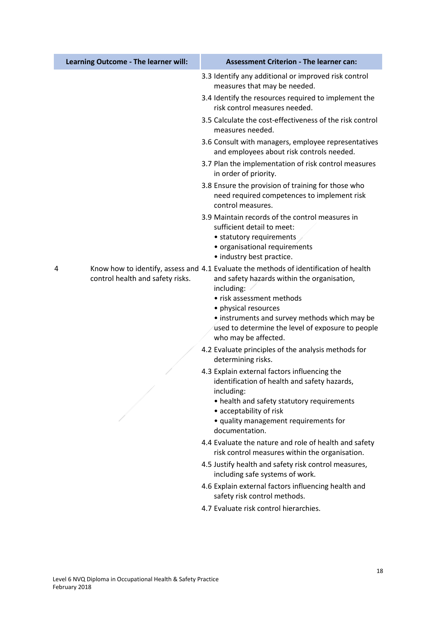|   | Learning Outcome - The learner will: | <b>Assessment Criterion - The learner can:</b>                                                                                                                                                                                                                                                                                        |
|---|--------------------------------------|---------------------------------------------------------------------------------------------------------------------------------------------------------------------------------------------------------------------------------------------------------------------------------------------------------------------------------------|
|   |                                      | 3.3 Identify any additional or improved risk control<br>measures that may be needed.<br>3.4 Identify the resources required to implement the<br>risk control measures needed.                                                                                                                                                         |
|   |                                      | 3.5 Calculate the cost-effectiveness of the risk control<br>measures needed.                                                                                                                                                                                                                                                          |
|   |                                      | 3.6 Consult with managers, employee representatives<br>and employees about risk controls needed.                                                                                                                                                                                                                                      |
|   |                                      | 3.7 Plan the implementation of risk control measures<br>in order of priority.                                                                                                                                                                                                                                                         |
|   |                                      | 3.8 Ensure the provision of training for those who<br>need required competences to implement risk<br>control measures.                                                                                                                                                                                                                |
|   |                                      | 3.9 Maintain records of the control measures in<br>sufficient detail to meet:<br>• statutory requirements<br>• organisational requirements<br>• industry best practice.                                                                                                                                                               |
| 4 | control health and safety risks.     | Know how to identify, assess and 4.1 Evaluate the methods of identification of health<br>and safety hazards within the organisation,<br>including:<br>• risk assessment methods<br>• physical resources<br>• instruments and survey methods which may be<br>used to determine the level of exposure to people<br>who may be affected. |
|   |                                      | 4.2 Evaluate principles of the analysis methods for<br>determining risks.                                                                                                                                                                                                                                                             |
|   |                                      | 4.3 Explain external factors influencing the<br>identification of health and safety hazards,<br>including:<br>• health and safety statutory requirements<br>• acceptability of risk<br>· quality management requirements for<br>documentation.                                                                                        |
|   |                                      | 4.4 Evaluate the nature and role of health and safety<br>risk control measures within the organisation.                                                                                                                                                                                                                               |
|   |                                      | 4.5 Justify health and safety risk control measures,<br>including safe systems of work.                                                                                                                                                                                                                                               |
|   |                                      | 4.6 Explain external factors influencing health and<br>safety risk control methods.                                                                                                                                                                                                                                                   |
|   |                                      | 4.7 Evaluate risk control hierarchies.                                                                                                                                                                                                                                                                                                |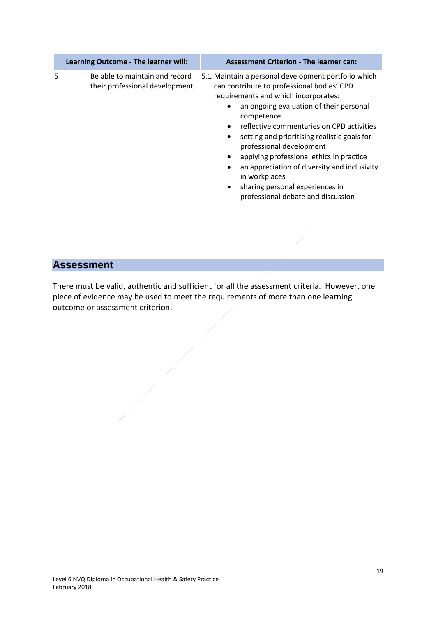|   | Learning Outcome - The learner will:                             | <b>Assessment Criterion - The learner can:</b>                                                                                                                                                                                                                                                                                                                                                                                                                                                                                 |
|---|------------------------------------------------------------------|--------------------------------------------------------------------------------------------------------------------------------------------------------------------------------------------------------------------------------------------------------------------------------------------------------------------------------------------------------------------------------------------------------------------------------------------------------------------------------------------------------------------------------|
| 5 | Be able to maintain and record<br>their professional development | 5.1 Maintain a personal development portfolio which<br>can contribute to professional bodies' CPD<br>requirements and which incorporates:<br>an ongoing evaluation of their personal<br>competence<br>reflective commentaries on CPD activities<br>setting and prioritising realistic goals for<br>$\bullet$<br>professional development<br>applying professional ethics in practice<br>an appreciation of diversity and inclusivity<br>in workplaces<br>sharing personal experiences in<br>professional debate and discussion |
|   |                                                                  |                                                                                                                                                                                                                                                                                                                                                                                                                                                                                                                                |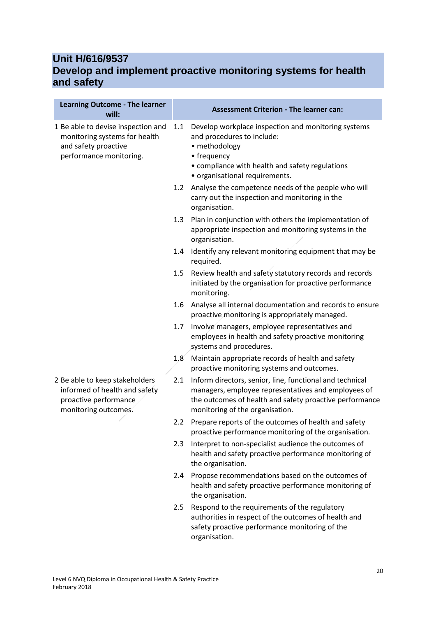#### **Unit H/616/9537 Develop and implement proactive monitoring systems for health and safety**

| <b>Learning Outcome - The learner</b><br>will:                                                                         |                  | <b>Assessment Criterion - The learner can:</b>                                                                                                                                                                |
|------------------------------------------------------------------------------------------------------------------------|------------------|---------------------------------------------------------------------------------------------------------------------------------------------------------------------------------------------------------------|
| 1 Be able to devise inspection and<br>monitoring systems for health<br>and safety proactive<br>performance monitoring. | 1.1              | Develop workplace inspection and monitoring systems<br>and procedures to include:<br>• methodology<br>• frequency<br>• compliance with health and safety regulations<br>· organisational requirements.        |
|                                                                                                                        | 1.2              | Analyse the competence needs of the people who will<br>carry out the inspection and monitoring in the<br>organisation.                                                                                        |
|                                                                                                                        | 1.3              | Plan in conjunction with others the implementation of<br>appropriate inspection and monitoring systems in the<br>organisation.                                                                                |
|                                                                                                                        | 1.4              | Identify any relevant monitoring equipment that may be<br>required.                                                                                                                                           |
|                                                                                                                        | $1.5\,$          | Review health and safety statutory records and records<br>initiated by the organisation for proactive performance<br>monitoring.                                                                              |
|                                                                                                                        | $1.6\,$          | Analyse all internal documentation and records to ensure<br>proactive monitoring is appropriately managed.                                                                                                    |
|                                                                                                                        | 1.7 <sub>z</sub> | Involve managers, employee representatives and<br>employees in health and safety proactive monitoring<br>systems and procedures.                                                                              |
|                                                                                                                        | 1.8              | Maintain appropriate records of health and safety<br>proactive monitoring systems and outcomes.                                                                                                               |
| 2 Be able to keep stakeholders<br>informed of health and safety<br>proactive performance<br>monitoring outcomes.       | 2.1              | Inform directors, senior, line, functional and technical<br>managers, employee representatives and employees of<br>the outcomes of health and safety proactive performance<br>monitoring of the organisation. |
|                                                                                                                        | $2.2^{\circ}$    | Prepare reports of the outcomes of health and safety<br>proactive performance monitoring of the organisation.                                                                                                 |
|                                                                                                                        | 2.3              | Interpret to non-specialist audience the outcomes of<br>health and safety proactive performance monitoring of<br>the organisation.                                                                            |
|                                                                                                                        | 2.4              | Propose recommendations based on the outcomes of<br>health and safety proactive performance monitoring of<br>the organisation.                                                                                |
|                                                                                                                        | 2.5              | Respond to the requirements of the regulatory<br>authorities in respect of the outcomes of health and<br>safety proactive performance monitoring of the<br>organisation.                                      |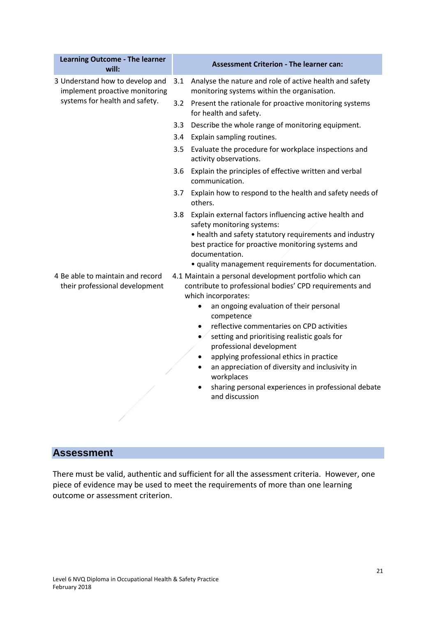| <b>Learning Outcome - The learner</b><br>will:                     |     | <b>Assessment Criterion - The learner can:</b>                                                                                                                                                                                                                                                                                                                                                                                                                                                                                                            |  |
|--------------------------------------------------------------------|-----|-----------------------------------------------------------------------------------------------------------------------------------------------------------------------------------------------------------------------------------------------------------------------------------------------------------------------------------------------------------------------------------------------------------------------------------------------------------------------------------------------------------------------------------------------------------|--|
| 3 Understand how to develop and<br>implement proactive monitoring  | 3.1 | Analyse the nature and role of active health and safety<br>monitoring systems within the organisation.                                                                                                                                                                                                                                                                                                                                                                                                                                                    |  |
| systems for health and safety.                                     |     | 3.2 Present the rationale for proactive monitoring systems<br>for health and safety.                                                                                                                                                                                                                                                                                                                                                                                                                                                                      |  |
|                                                                    | 3.3 | Describe the whole range of monitoring equipment.                                                                                                                                                                                                                                                                                                                                                                                                                                                                                                         |  |
|                                                                    | 3.4 | Explain sampling routines.                                                                                                                                                                                                                                                                                                                                                                                                                                                                                                                                |  |
|                                                                    |     | 3.5 Evaluate the procedure for workplace inspections and<br>activity observations.                                                                                                                                                                                                                                                                                                                                                                                                                                                                        |  |
|                                                                    | 3.6 | Explain the principles of effective written and verbal<br>communication.                                                                                                                                                                                                                                                                                                                                                                                                                                                                                  |  |
|                                                                    |     | 3.7 Explain how to respond to the health and safety needs of<br>others.                                                                                                                                                                                                                                                                                                                                                                                                                                                                                   |  |
|                                                                    | 3.8 | Explain external factors influencing active health and<br>safety monitoring systems:<br>• health and safety statutory requirements and industry<br>best practice for proactive monitoring systems and<br>documentation.                                                                                                                                                                                                                                                                                                                                   |  |
|                                                                    |     | • quality management requirements for documentation.                                                                                                                                                                                                                                                                                                                                                                                                                                                                                                      |  |
| 4 Be able to maintain and record<br>their professional development |     | 4.1 Maintain a personal development portfolio which can<br>contribute to professional bodies' CPD requirements and<br>which incorporates:<br>an ongoing evaluation of their personal<br>$\bullet$<br>competence<br>reflective commentaries on CPD activities<br>$\bullet$<br>setting and prioritising realistic goals for<br>$\bullet/$<br>professional development<br>applying professional ethics in practice<br>an appreciation of diversity and inclusivity in<br>workplaces<br>sharing personal experiences in professional debate<br>and discussion |  |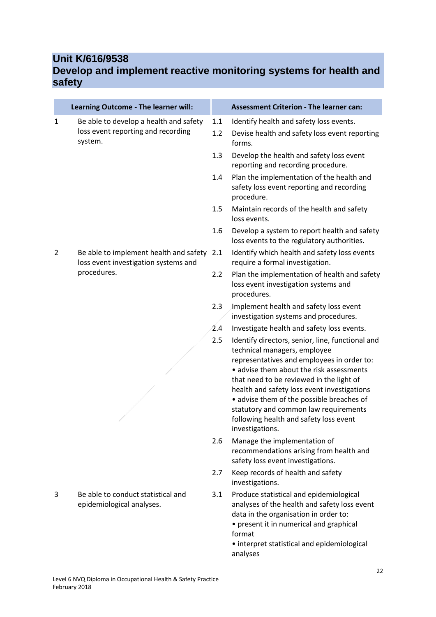# **Unit K/616/9538**

### **Develop and implement reactive monitoring systems for health and safety**

|                | Learning Outcome - The learner will:                                                    |            | <b>Assessment Criterion - The learner can:</b>                                                                                                                                                                                                                                                                                                                                                                           |
|----------------|-----------------------------------------------------------------------------------------|------------|--------------------------------------------------------------------------------------------------------------------------------------------------------------------------------------------------------------------------------------------------------------------------------------------------------------------------------------------------------------------------------------------------------------------------|
| 1              | Be able to develop a health and safety<br>loss event reporting and recording<br>system. | 1.1<br>1.2 | Identify health and safety loss events.<br>Devise health and safety loss event reporting<br>forms.                                                                                                                                                                                                                                                                                                                       |
|                |                                                                                         | 1.3        | Develop the health and safety loss event<br>reporting and recording procedure.                                                                                                                                                                                                                                                                                                                                           |
|                |                                                                                         | 1.4        | Plan the implementation of the health and<br>safety loss event reporting and recording<br>procedure.                                                                                                                                                                                                                                                                                                                     |
|                |                                                                                         | 1.5        | Maintain records of the health and safety<br>loss events.                                                                                                                                                                                                                                                                                                                                                                |
|                |                                                                                         | 1.6        | Develop a system to report health and safety<br>loss events to the regulatory authorities.                                                                                                                                                                                                                                                                                                                               |
| $\overline{2}$ | Be able to implement health and safety 2.1<br>loss event investigation systems and      |            | Identify which health and safety loss events<br>require a formal investigation.                                                                                                                                                                                                                                                                                                                                          |
|                | procedures.                                                                             | 2.2        | Plan the implementation of health and safety<br>loss event investigation systems and<br>procedures.                                                                                                                                                                                                                                                                                                                      |
|                |                                                                                         | 2.3        | Implement health and safety loss event<br>investigation systems and procedures.                                                                                                                                                                                                                                                                                                                                          |
|                |                                                                                         | 2.4        | Investigate health and safety loss events.                                                                                                                                                                                                                                                                                                                                                                               |
|                |                                                                                         | 2.5        | Identify directors, senior, line, functional and<br>technical managers, employee<br>representatives and employees in order to:<br>• advise them about the risk assessments<br>that need to be reviewed in the light of<br>health and safety loss event investigations<br>• advise them of the possible breaches of<br>statutory and common law requirements<br>following health and safety loss event<br>investigations. |
|                |                                                                                         | 2.6        | Manage the implementation of<br>recommendations arising from health and<br>safety loss event investigations.                                                                                                                                                                                                                                                                                                             |
|                |                                                                                         | 2.7        | Keep records of health and safety<br>investigations.                                                                                                                                                                                                                                                                                                                                                                     |
| 3              | Be able to conduct statistical and<br>epidemiological analyses.                         | 3.1        | Produce statistical and epidemiological<br>analyses of the health and safety loss event<br>data in the organisation in order to:<br>• present it in numerical and graphical<br>format<br>• interpret statistical and epidemiological<br>analyses                                                                                                                                                                         |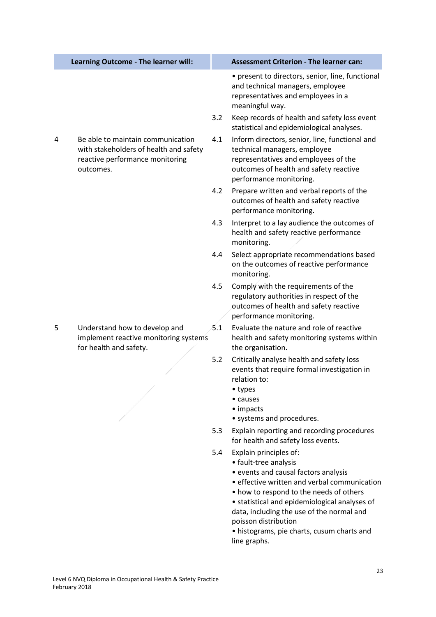|   | Learning Outcome - The learner will:                                                                                        |     | <b>Assessment Criterion - The learner can:</b>                                                                                                                                                                                                                                                                                                                         |
|---|-----------------------------------------------------------------------------------------------------------------------------|-----|------------------------------------------------------------------------------------------------------------------------------------------------------------------------------------------------------------------------------------------------------------------------------------------------------------------------------------------------------------------------|
|   |                                                                                                                             |     | • present to directors, senior, line, functional<br>and technical managers, employee<br>representatives and employees in a<br>meaningful way.                                                                                                                                                                                                                          |
|   |                                                                                                                             | 3.2 | Keep records of health and safety loss event<br>statistical and epidemiological analyses.                                                                                                                                                                                                                                                                              |
| 4 | Be able to maintain communication<br>with stakeholders of health and safety<br>reactive performance monitoring<br>outcomes. | 4.1 | Inform directors, senior, line, functional and<br>technical managers, employee<br>representatives and employees of the<br>outcomes of health and safety reactive<br>performance monitoring.                                                                                                                                                                            |
|   |                                                                                                                             | 4.2 | Prepare written and verbal reports of the<br>outcomes of health and safety reactive<br>performance monitoring.                                                                                                                                                                                                                                                         |
|   |                                                                                                                             | 4.3 | Interpret to a lay audience the outcomes of<br>health and safety reactive performance<br>monitoring.                                                                                                                                                                                                                                                                   |
|   |                                                                                                                             | 4.4 | Select appropriate recommendations based<br>on the outcomes of reactive performance<br>monitoring.                                                                                                                                                                                                                                                                     |
|   |                                                                                                                             | 4.5 | Comply with the requirements of the<br>regulatory authorities in respect of the<br>outcomes of health and safety reactive<br>performance monitoring.                                                                                                                                                                                                                   |
| 5 | Understand how to develop and<br>implement reactive monitoring systems<br>for health and safety.                            | 5.1 | Evaluate the nature and role of reactive<br>health and safety monitoring systems within<br>the organisation.                                                                                                                                                                                                                                                           |
|   |                                                                                                                             | 5.2 | Critically analyse health and safety loss<br>events that require formal investigation in<br>relation to:<br>• types<br>• causes<br>• impacts<br>• systems and procedures.                                                                                                                                                                                              |
|   |                                                                                                                             | 5.3 | Explain reporting and recording procedures<br>for health and safety loss events.                                                                                                                                                                                                                                                                                       |
|   |                                                                                                                             | 5.4 | Explain principles of:<br>• fault-tree analysis<br>• events and causal factors analysis<br>• effective written and verbal communication<br>• how to respond to the needs of others<br>• statistical and epidemiological analyses of<br>data, including the use of the normal and<br>poisson distribution<br>• histograms, pie charts, cusum charts and<br>line graphs. |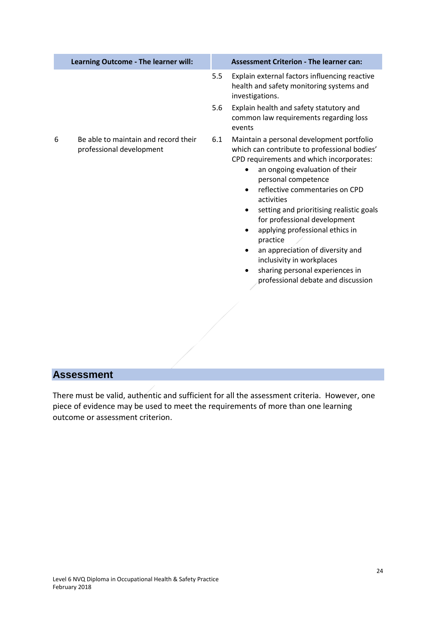| Learning Outcome - The learner will:                                  | <b>Assessment Criterion - The learner can:</b>                                                                                                                                                                                                                                                                                                                                                                                                                                                                                                            |
|-----------------------------------------------------------------------|-----------------------------------------------------------------------------------------------------------------------------------------------------------------------------------------------------------------------------------------------------------------------------------------------------------------------------------------------------------------------------------------------------------------------------------------------------------------------------------------------------------------------------------------------------------|
|                                                                       | 5.5<br>Explain external factors influencing reactive<br>health and safety monitoring systems and<br>investigations.                                                                                                                                                                                                                                                                                                                                                                                                                                       |
|                                                                       | Explain health and safety statutory and<br>5.6<br>common law requirements regarding loss<br>events                                                                                                                                                                                                                                                                                                                                                                                                                                                        |
| Be able to maintain and record their<br>6<br>professional development | 6.1<br>Maintain a personal development portfolio<br>which can contribute to professional bodies'<br>CPD requirements and which incorporates:<br>an ongoing evaluation of their<br>$\bullet$<br>personal competence<br>reflective commentaries on CPD<br>$\bullet$<br>activities<br>setting and prioritising realistic goals<br>٠<br>for professional development<br>applying professional ethics in<br>practice<br>an appreciation of diversity and<br>inclusivity in workplaces<br>sharing personal experiences in<br>professional debate and discussion |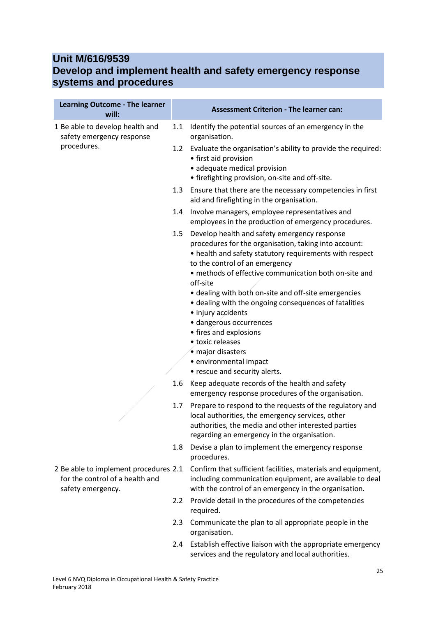### **Unit M/616/9539 Develop and implement health and safety emergency response systems and procedures**

| <b>Learning Outcome - The learner</b><br>will:                                                |                  | <b>Assessment Criterion - The learner can:</b>                                                                                                                                                                                                                                                                                                                                                                                                                                                                                                                          |
|-----------------------------------------------------------------------------------------------|------------------|-------------------------------------------------------------------------------------------------------------------------------------------------------------------------------------------------------------------------------------------------------------------------------------------------------------------------------------------------------------------------------------------------------------------------------------------------------------------------------------------------------------------------------------------------------------------------|
| 1 Be able to develop health and<br>safety emergency response                                  | 1.1              | Identify the potential sources of an emergency in the<br>organisation.                                                                                                                                                                                                                                                                                                                                                                                                                                                                                                  |
| procedures.                                                                                   | 1.2 <sub>2</sub> | Evaluate the organisation's ability to provide the required:<br>• first aid provision<br>· adequate medical provision<br>• firefighting provision, on-site and off-site.                                                                                                                                                                                                                                                                                                                                                                                                |
|                                                                                               | 1.3              | Ensure that there are the necessary competencies in first<br>aid and firefighting in the organisation.                                                                                                                                                                                                                                                                                                                                                                                                                                                                  |
|                                                                                               | 1.4              | Involve managers, employee representatives and<br>employees in the production of emergency procedures.                                                                                                                                                                                                                                                                                                                                                                                                                                                                  |
|                                                                                               | $1.5\,$          | Develop health and safety emergency response<br>procedures for the organisation, taking into account:<br>• health and safety statutory requirements with respect<br>to the control of an emergency<br>· methods of effective communication both on-site and<br>off-site<br>• dealing with both on-site and off-site emergencies<br>• dealing with the ongoing consequences of fatalities<br>• injury accidents<br>· dangerous occurrences<br>• fires and explosions<br>• toxic releases<br>· major disasters<br>· environmental impact<br>• rescue and security alerts. |
|                                                                                               | 1.6              | Keep adequate records of the health and safety<br>emergency response procedures of the organisation.                                                                                                                                                                                                                                                                                                                                                                                                                                                                    |
|                                                                                               | 1.7              | Prepare to respond to the requests of the regulatory and<br>local authorities, the emergency services, other<br>authorities, the media and other interested parties<br>regarding an emergency in the organisation.                                                                                                                                                                                                                                                                                                                                                      |
|                                                                                               | 1.8              | Devise a plan to implement the emergency response<br>procedures.                                                                                                                                                                                                                                                                                                                                                                                                                                                                                                        |
| 2 Be able to implement procedures 2.1<br>for the control of a health and<br>safety emergency. |                  | Confirm that sufficient facilities, materials and equipment,<br>including communication equipment, are available to deal<br>with the control of an emergency in the organisation.                                                                                                                                                                                                                                                                                                                                                                                       |
|                                                                                               | $2.2\phantom{0}$ | Provide detail in the procedures of the competencies<br>required.                                                                                                                                                                                                                                                                                                                                                                                                                                                                                                       |
|                                                                                               | 2.3              | Communicate the plan to all appropriate people in the<br>organisation.                                                                                                                                                                                                                                                                                                                                                                                                                                                                                                  |
|                                                                                               | 2.4              | Establish effective liaison with the appropriate emergency<br>services and the regulatory and local authorities.                                                                                                                                                                                                                                                                                                                                                                                                                                                        |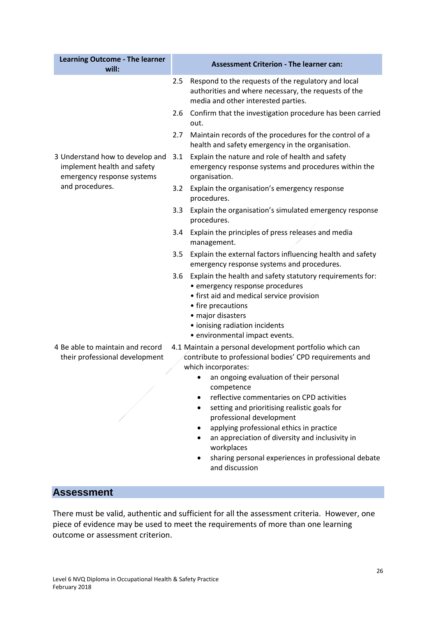| <b>Learning Outcome - The learner</b><br>will:                                                                                                                                                                  | <b>Assessment Criterion - The learner can:</b>                                                                                                                                                                                                               |  |
|-----------------------------------------------------------------------------------------------------------------------------------------------------------------------------------------------------------------|--------------------------------------------------------------------------------------------------------------------------------------------------------------------------------------------------------------------------------------------------------------|--|
|                                                                                                                                                                                                                 | 2.5<br>Respond to the requests of the regulatory and local<br>authorities and where necessary, the requests of the<br>media and other interested parties.                                                                                                    |  |
|                                                                                                                                                                                                                 | 2.6 Confirm that the investigation procedure has been carried<br>out.                                                                                                                                                                                        |  |
|                                                                                                                                                                                                                 | Maintain records of the procedures for the control of a<br>2.7<br>health and safety emergency in the organisation.                                                                                                                                           |  |
| 3 Understand how to develop and<br>implement health and safety<br>emergency response systems                                                                                                                    | Explain the nature and role of health and safety<br>3.1<br>emergency response systems and procedures within the<br>organisation.                                                                                                                             |  |
| and procedures.                                                                                                                                                                                                 | Explain the organisation's emergency response<br>3.2<br>procedures.                                                                                                                                                                                          |  |
|                                                                                                                                                                                                                 | Explain the organisation's simulated emergency response<br>$3.3\phantom{0}$<br>procedures.                                                                                                                                                                   |  |
|                                                                                                                                                                                                                 | 3.4 Explain the principles of press releases and media<br>management.                                                                                                                                                                                        |  |
|                                                                                                                                                                                                                 | Explain the external factors influencing health and safety<br>3.5<br>emergency response systems and procedures.                                                                                                                                              |  |
|                                                                                                                                                                                                                 | 3.6 Explain the health and safety statutory requirements for:<br>· emergency response procedures<br>• first aid and medical service provision<br>• fire precautions<br>· major disasters<br>· ionising radiation incidents<br>• environmental impact events. |  |
| 4 Be able to maintain and record<br>4.1 Maintain a personal development portfolio which can<br>contribute to professional bodies' CPD requirements and<br>their professional development<br>which incorporates: |                                                                                                                                                                                                                                                              |  |
|                                                                                                                                                                                                                 | an ongoing evaluation of their personal<br>competence                                                                                                                                                                                                        |  |
|                                                                                                                                                                                                                 | reflective commentaries on CPD activities<br>setting and prioritising realistic goals for<br>professional development<br>applying professional ethics in practice<br>٠<br>an appreciation of diversity and inclusivity in                                    |  |
|                                                                                                                                                                                                                 | workplaces<br>sharing personal experiences in professional debate<br>and discussion                                                                                                                                                                          |  |
| <b>Assessment</b>                                                                                                                                                                                               |                                                                                                                                                                                                                                                              |  |
|                                                                                                                                                                                                                 | There must be valid, authentic and sufficient for all the assessment criteria. However, one<br>piece of evidence may be used to meet the requirements of more than one learning                                                                              |  |
| outcome or assessment criterion.                                                                                                                                                                                |                                                                                                                                                                                                                                                              |  |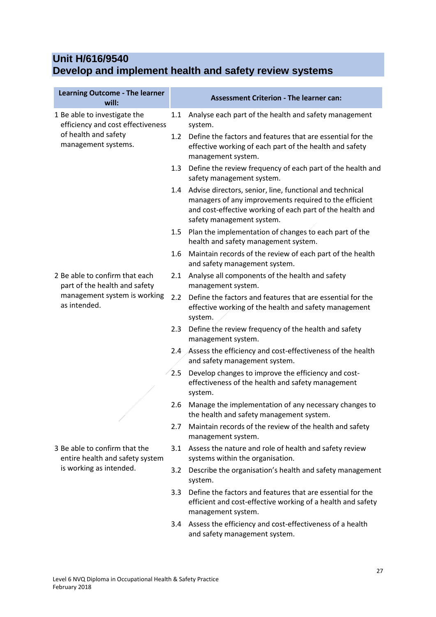# **Unit H/616/9540 Develop and implement health and safety review systems**

| <b>Learning Outcome - The learner</b><br>will:                    |     | <b>Assessment Criterion - The learner can:</b>                                                                                                                                                               |
|-------------------------------------------------------------------|-----|--------------------------------------------------------------------------------------------------------------------------------------------------------------------------------------------------------------|
| 1 Be able to investigate the<br>efficiency and cost effectiveness | 1.1 | Analyse each part of the health and safety management<br>system.                                                                                                                                             |
| of health and safety<br>management systems.                       | 1.2 | Define the factors and features that are essential for the<br>effective working of each part of the health and safety<br>management system.                                                                  |
|                                                                   | 1.3 | Define the review frequency of each part of the health and<br>safety management system.                                                                                                                      |
|                                                                   | 1.4 | Advise directors, senior, line, functional and technical<br>managers of any improvements required to the efficient<br>and cost-effective working of each part of the health and<br>safety management system. |
|                                                                   | 1.5 | Plan the implementation of changes to each part of the<br>health and safety management system.                                                                                                               |
|                                                                   | 1.6 | Maintain records of the review of each part of the health<br>and safety management system.                                                                                                                   |
| 2 Be able to confirm that each<br>part of the health and safety   | 2.1 | Analyse all components of the health and safety<br>management system.                                                                                                                                        |
| management system is working<br>as intended.                      | 2.2 | Define the factors and features that are essential for the<br>effective working of the health and safety management<br>system.                                                                               |
|                                                                   | 2.3 | Define the review frequency of the health and safety<br>management system.                                                                                                                                   |
|                                                                   |     | 2.4 Assess the efficiency and cost-effectiveness of the health<br>and safety management system.                                                                                                              |
|                                                                   | 2.5 | Develop changes to improve the efficiency and cost-<br>effectiveness of the health and safety management<br>system.                                                                                          |
|                                                                   | 2.6 | Manage the implementation of any necessary changes to<br>the health and safety management system.                                                                                                            |
|                                                                   | 2.7 | Maintain records of the review of the health and safety<br>management system.                                                                                                                                |
| 3 Be able to confirm that the<br>entire health and safety system  | 3.1 | Assess the nature and role of health and safety review<br>systems within the organisation.                                                                                                                   |
| is working as intended.                                           | 3.2 | Describe the organisation's health and safety management<br>system.                                                                                                                                          |
|                                                                   | 3.3 | Define the factors and features that are essential for the<br>efficient and cost-effective working of a health and safety<br>management system.                                                              |
|                                                                   | 3.4 | Assess the efficiency and cost-effectiveness of a health<br>and safety management system.                                                                                                                    |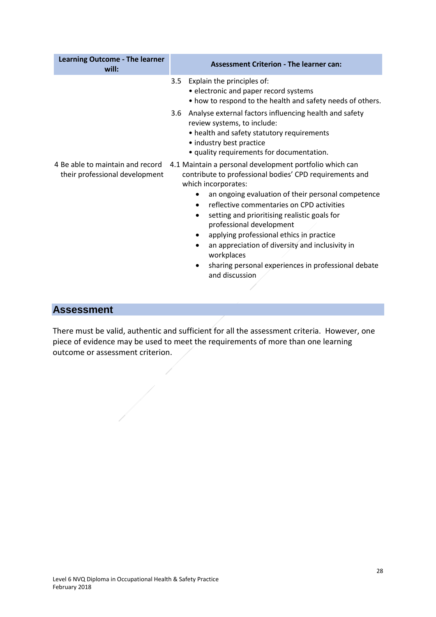| <b>Learning Outcome - The learner</b><br>will: | <b>Assessment Criterion - The learner can:</b>                                                                                                                                                                                                                                                                                                                                                                                                                                                                                                                                         |  |
|------------------------------------------------|----------------------------------------------------------------------------------------------------------------------------------------------------------------------------------------------------------------------------------------------------------------------------------------------------------------------------------------------------------------------------------------------------------------------------------------------------------------------------------------------------------------------------------------------------------------------------------------|--|
|                                                | Explain the principles of:<br>3.5<br>• electronic and paper record systems<br>• how to respond to the health and safety needs of others.<br>Analyse external factors influencing health and safety<br>3.6<br>review systems, to include:<br>• health and safety statutory requirements<br>• industry best practice<br>• quality requirements for documentation.                                                                                                                                                                                                                        |  |
| their professional development                 | 4 Be able to maintain and record 4.1 Maintain a personal development portfolio which can<br>contribute to professional bodies' CPD requirements and<br>which incorporates:<br>an ongoing evaluation of their personal competence<br>$\bullet$<br>reflective commentaries on CPD activities<br>setting and prioritising realistic goals for<br>$\bullet$<br>professional development<br>applying professional ethics in practice<br>an appreciation of diversity and inclusivity in<br>$\bullet$<br>workplaces<br>sharing personal experiences in professional debate<br>and discussion |  |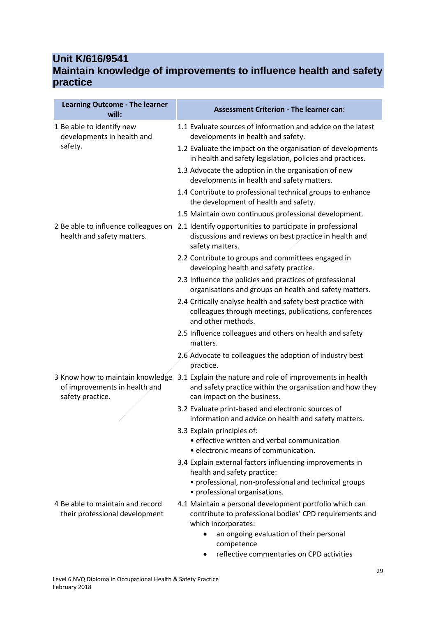### **Unit K/616/9541 Maintain knowledge of improvements to influence health and safety practice**

| <b>Learning Outcome - The learner</b><br>will:                                        | <b>Assessment Criterion - The learner can:</b>                                                                                                       |
|---------------------------------------------------------------------------------------|------------------------------------------------------------------------------------------------------------------------------------------------------|
| 1 Be able to identify new<br>developments in health and                               | 1.1 Evaluate sources of information and advice on the latest<br>developments in health and safety.                                                   |
| safety.                                                                               | 1.2 Evaluate the impact on the organisation of developments<br>in health and safety legislation, policies and practices.                             |
|                                                                                       | 1.3 Advocate the adoption in the organisation of new<br>developments in health and safety matters.                                                   |
|                                                                                       | 1.4 Contribute to professional technical groups to enhance<br>the development of health and safety.                                                  |
|                                                                                       | 1.5 Maintain own continuous professional development.                                                                                                |
| 2 Be able to influence colleagues on<br>health and safety matters.                    | 2.1 Identify opportunities to participate in professional<br>discussions and reviews on best practice in health and<br>safety matters.               |
|                                                                                       | 2.2 Contribute to groups and committees engaged in<br>developing health and safety practice.                                                         |
|                                                                                       | 2.3 Influence the policies and practices of professional<br>organisations and groups on health and safety matters.                                   |
|                                                                                       | 2.4 Critically analyse health and safety best practice with<br>colleagues through meetings, publications, conferences<br>and other methods.          |
|                                                                                       | 2.5 Influence colleagues and others on health and safety<br>matters.                                                                                 |
|                                                                                       | 2.6 Advocate to colleagues the adoption of industry best<br>practice.                                                                                |
| 3 Know how to maintain knowledge<br>of improvements in health and<br>safety practice. | 3.1 Explain the nature and role of improvements in health<br>and safety practice within the organisation and how they<br>can impact on the business. |
|                                                                                       | 3.2 Evaluate print-based and electronic sources of<br>information and advice on health and safety matters.                                           |
|                                                                                       | 3.3 Explain principles of:<br>• effective written and verbal communication<br>· electronic means of communication.                                   |
|                                                                                       | 3.4 Explain external factors influencing improvements in<br>health and safety practice:<br>• professional, non-professional and technical groups     |
|                                                                                       | • professional organisations.                                                                                                                        |
| 4 Be able to maintain and record<br>their professional development                    | 4.1 Maintain a personal development portfolio which can<br>contribute to professional bodies' CPD requirements and<br>which incorporates:            |
|                                                                                       | an ongoing evaluation of their personal<br>competence<br>reflective commentaries on CPD activities                                                   |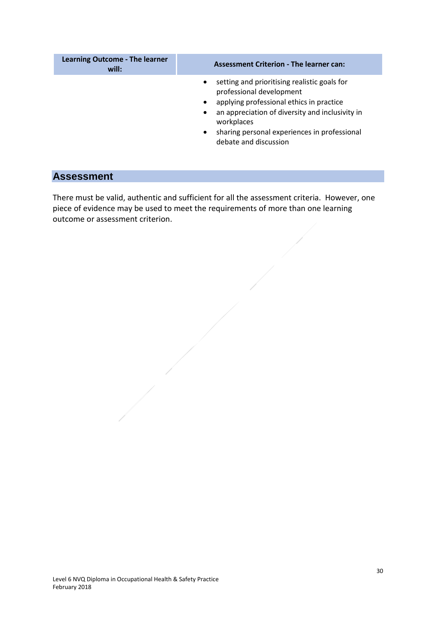| <b>Learning Outcome - The learner</b><br>will: | <b>Assessment Criterion - The learner can:</b>                                                                                                                                                                                                                                                                     |
|------------------------------------------------|--------------------------------------------------------------------------------------------------------------------------------------------------------------------------------------------------------------------------------------------------------------------------------------------------------------------|
|                                                | setting and prioritising realistic goals for<br>$\bullet$<br>professional development<br>applying professional ethics in practice<br>$\bullet$<br>an appreciation of diversity and inclusivity in<br>$\bullet$<br>workplaces<br>sharing personal experiences in professional<br>$\bullet$<br>debate and discussion |